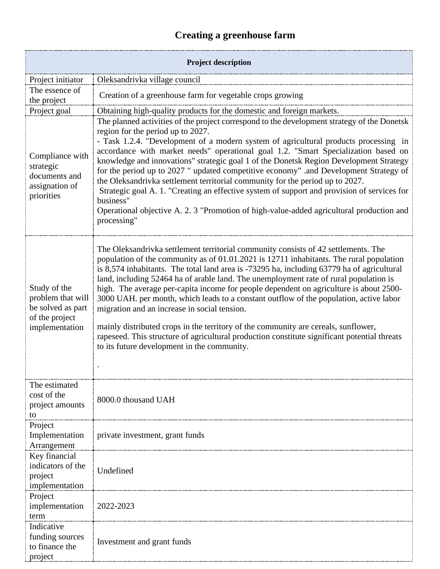## **Creating a greenhouse farm**

| <b>Project description</b>                                                                 |                                                                                                                                                                                                                                                                                                                                                                                                                                                                                                                                                                                                                                                                                                                                                                                                                                               |  |
|--------------------------------------------------------------------------------------------|-----------------------------------------------------------------------------------------------------------------------------------------------------------------------------------------------------------------------------------------------------------------------------------------------------------------------------------------------------------------------------------------------------------------------------------------------------------------------------------------------------------------------------------------------------------------------------------------------------------------------------------------------------------------------------------------------------------------------------------------------------------------------------------------------------------------------------------------------|--|
| Project initiator                                                                          | Oleksandrivka village council                                                                                                                                                                                                                                                                                                                                                                                                                                                                                                                                                                                                                                                                                                                                                                                                                 |  |
| The essence of<br>the project                                                              | Creation of a greenhouse farm for vegetable crops growing                                                                                                                                                                                                                                                                                                                                                                                                                                                                                                                                                                                                                                                                                                                                                                                     |  |
| Project goal                                                                               | Obtaining high-quality products for the domestic and foreign markets.                                                                                                                                                                                                                                                                                                                                                                                                                                                                                                                                                                                                                                                                                                                                                                         |  |
| Compliance with<br>strategic<br>documents and<br>assignation of<br>priorities              | The planned activities of the project correspond to the development strategy of the Donetsk<br>region for the period up to 2027.<br>- Task 1.2.4. "Development of a modern system of agricultural products processing in<br>accordance with market needs" operational goal 1.2. "Smart Specialization based on<br>knowledge and innovations" strategic goal 1 of the Donetsk Region Development Strategy<br>for the period up to 2027 " updated competitive economy" .and Development Strategy of<br>the Oleksandrivka settlement territorial community for the period up to 2027.<br>Strategic goal A. 1. "Creating an effective system of support and provision of services for<br>business"<br>Operational objective A. 2. 3 "Promotion of high-value-added agricultural production and<br>processing"                                     |  |
| Study of the<br>problem that will<br>be solved as part<br>of the project<br>implementation | The Oleksandrivka settlement territorial community consists of 42 settlements. The<br>population of the community as of 01.01.2021 is 12711 inhabitants. The rural population<br>is 8,574 inhabitants. The total land area is -73295 ha, including 63779 ha of agricultural<br>land, including 52464 ha of arable land. The unemployment rate of rural population is<br>high. The average per-capita income for people dependent on agriculture is about 2500-<br>3000 UAH. per month, which leads to a constant outflow of the population, active labor<br>migration and an increase in social tension.<br>mainly distributed crops in the territory of the community are cereals, sunflower,<br>rapeseed. This structure of agricultural production constitute significant potential threats<br>to its future development in the community. |  |
| The estimated<br>cost of the<br>project amounts<br>to                                      | 8000.0 thousand UAH                                                                                                                                                                                                                                                                                                                                                                                                                                                                                                                                                                                                                                                                                                                                                                                                                           |  |
| Project<br>Implementation<br>Arrangement                                                   | private investment, grant funds                                                                                                                                                                                                                                                                                                                                                                                                                                                                                                                                                                                                                                                                                                                                                                                                               |  |
| Key financial<br>indicators of the<br>project<br>implementation                            | Undefined                                                                                                                                                                                                                                                                                                                                                                                                                                                                                                                                                                                                                                                                                                                                                                                                                                     |  |
| Project<br>implementation<br>term                                                          | 2022-2023                                                                                                                                                                                                                                                                                                                                                                                                                                                                                                                                                                                                                                                                                                                                                                                                                                     |  |
| Indicative<br>funding sources<br>to finance the<br>project                                 | Investment and grant funds                                                                                                                                                                                                                                                                                                                                                                                                                                                                                                                                                                                                                                                                                                                                                                                                                    |  |